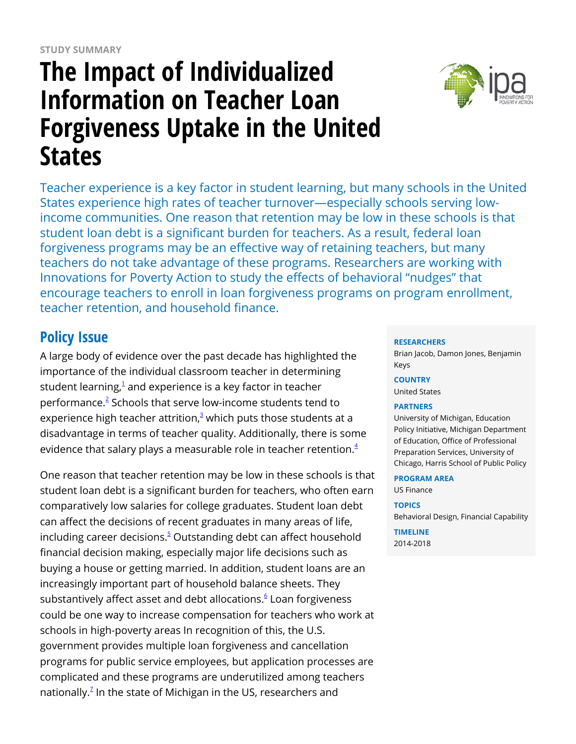# **The Impact of Individualized Information on Teacher Loan Forgiveness Uptake in the United States**



Teacher experience is a key factor in student learning, but many schools in the United States experience high rates of teacher turnover—especially schools serving lowincome communities. One reason that retention may be low in these schools is that student loan debt is a significant burden for teachers. As a result, federal loan forgiveness programs may be an effective way of retaining teachers, but many teachers do not take advantage of these programs. Researchers are working with Innovations for Poverty Action to study the effects of behavioral "nudges" that encourage teachers to enroll in loan forgiveness programs on program enrollment, teacher retention, and household finance.

## **Policy Issue**

A large body of evidence over the past decade has highlighted the importance of the individual classroom teacher in determining student learning, $^1$  $^1$  and experience is a key factor in teacher performance.<sup>[2](https://www.poverty-action.org/printpdf/32071#_ftn2)</sup> Schools that serve low-income students tend to experience high teacher attrition, $^3$  $^3$  which puts those students at a disadvantage in terms of teacher quality. Additionally, there is some evidence that salary plays a measurable role in teacher retention. $^4$  $^4$ 

One reason that teacher retention may be low in these schools is that student loan debt is a significant burden for teachers, who often earn comparatively low salaries for college graduates. Student loan debt can affect the decisions of recent graduates in many areas of life, including career decisions.<sup>[5](https://www.poverty-action.org/printpdf/32071#_ftn5)</sup> Outstanding debt can affect household financial decision making, especially major life decisions such as buying a house or getting married. In addition, student loans are an increasingly important part of household balance sheets. They substantively affect asset and debt allocations.<sup>[6](https://www.poverty-action.org/printpdf/32071#_ftn6)</sup> Loan forgiveness could be one way to increase compensation for teachers who work at schools in high-poverty areas In recognition of this, the U.S. government provides multiple loan forgiveness and cancellation programs for public service employees, but application processes are complicated and these programs are underutilized among teachers nationally. $^{\mathbb{Z}}$  In the state of Michigan in the US, researchers and

#### **RESEARCHERS**

Brian Jacob, Damon Jones, Benjamin Keys

**COUNTRY**

United States

#### **PARTNERS**

University of Michigan, Education Policy Initiative, Michigan Department of Education, Office of Professional Preparation Services, University of Chicago, Harris School of Public Policy

#### **PROGRAM AREA**

US Finance

#### **TOPICS**

Behavioral Design, Financial Capability

**TIMELINE** 2014-2018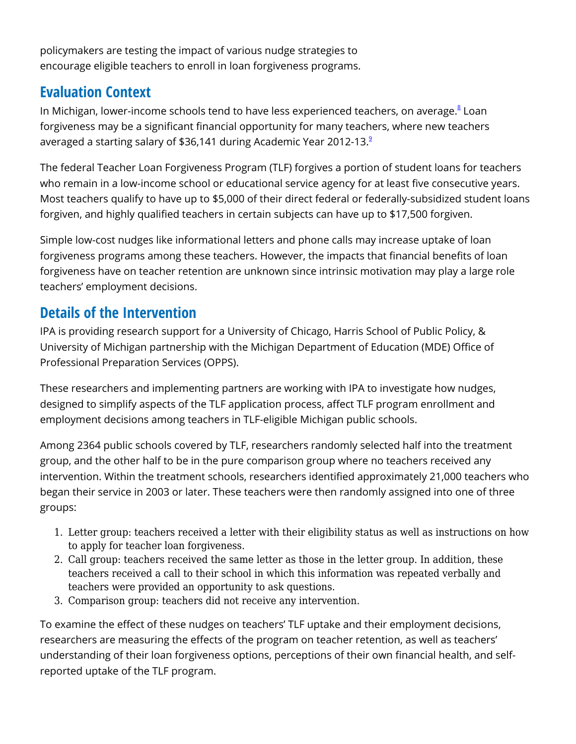policymakers are testing the impact of various nudge strategies to encourage eligible teachers to enroll in loan forgiveness programs.

## **Evaluation Context**

In Michigan, lower-income schools tend to have less experienced teachers, on average.<sup>[8](https://www.poverty-action.org/printpdf/32071#_ftn8)</sup> Loan forgiveness may be a significant financial opportunity for many teachers, where new teachers averaged a starting salary of \$36,141 during Academic Year 2012-13.<sup>[9](https://www.poverty-action.org/printpdf/32071#_ftn9)</sup>

The federal Teacher Loan Forgiveness Program (TLF) forgives a portion of student loans for teachers who remain in a low-income school or educational service agency for at least five consecutive years. Most teachers qualify to have up to \$5,000 of their direct federal or federally-subsidized student loans forgiven, and highly qualified teachers in certain subjects can have up to \$17,500 forgiven.

Simple low-cost nudges like informational letters and phone calls may increase uptake of loan forgiveness programs among these teachers. However, the impacts that financial benefits of loan forgiveness have on teacher retention are unknown since intrinsic motivation may play a large role teachers' employment decisions.

## **Details of the Intervention**

IPA is providing research support for a University of Chicago, Harris School of Public Policy, & University of Michigan partnership with the Michigan Department of Education (MDE) Office of Professional Preparation Services (OPPS).

These researchers and implementing partners are working with IPA to investigate how nudges, designed to simplify aspects of the TLF application process, affect TLF program enrollment and employment decisions among teachers in TLF-eligible Michigan public schools.

Among 2364 public schools covered by TLF, researchers randomly selected half into the treatment group, and the other half to be in the pure comparison group where no teachers received any intervention. Within the treatment schools, researchers identified approximately 21,000 teachers who began their service in 2003 or later. These teachers were then randomly assigned into one of three groups:

- 1. Letter group: teachers received a letter with their eligibility status as well as instructions on how to apply for teacher loan forgiveness.
- 2. Call group: teachers received the same letter as those in the letter group. In addition, these teachers received a call to their school in which this information was repeated verbally and teachers were provided an opportunity to ask questions.
- 3. Comparison group: teachers did not receive any intervention.

To examine the effect of these nudges on teachers' TLF uptake and their employment decisions, researchers are measuring the effects of the program on teacher retention, as well as teachers' understanding of their loan forgiveness options, perceptions of their own financial health, and selfreported uptake of the TLF program.